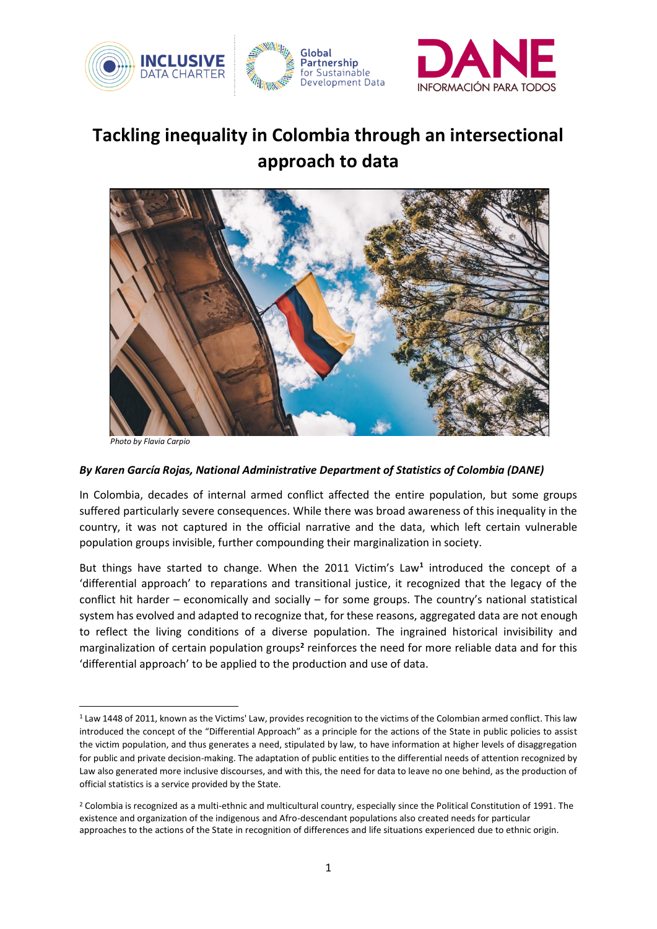

## **Tackling inequality in Colombia through an intersectional approach to data**



*Photo by Flavia Carpio*

## *By Karen García Rojas, National Administrative Department of Statistics of Colombia (DANE)*

In Colombia, decades of internal armed conflict affected the entire population, but some groups suffered particularly severe consequences. While there was broad awareness of this inequality in the country, it was not captured in the official narrative and the data, which left certain vulnerable population groups invisible, further compounding their marginalization in society.

But things have started to change. When the 2011 Victim's Law**<sup>1</sup>** introduced the concept of a 'differential approach' to reparations and transitional justice, it recognized that the legacy of the conflict hit harder – economically and socially – for some groups. The country's national statistical system has evolved and adapted to recognize that, for these reasons, aggregated data are not enough to reflect the living conditions of a diverse population. The ingrained historical invisibility and marginalization of certain population groups<sup>2</sup> reinforces the need for more reliable data and for this 'differential approach' to be applied to the production and use of data.

<sup>&</sup>lt;sup>1</sup> Law 1448 of 2011, known as the Victims' Law, provides recognition to the victims of the Colombian armed conflict. This law introduced the concept of the "Differential Approach" as a principle for the actions of the State in public policies to assist the victim population, and thus generates a need, stipulated by law, to have information at higher levels of disaggregation for public and private decision-making. The adaptation of public entities to the differential needs of attention recognized by Law also generated more inclusive discourses, and with this, the need for data to leave no one behind, as the production of official statistics is a service provided by the State.

<sup>&</sup>lt;sup>2</sup> Colombia is recognized as a multi-ethnic and multicultural country, especially since the Political Constitution of 1991. The existence and organization of the indigenous and Afro-descendant populations also created needs for particular approaches to the actions of the State in recognition of differences and life situations experienced due to ethnic origin.